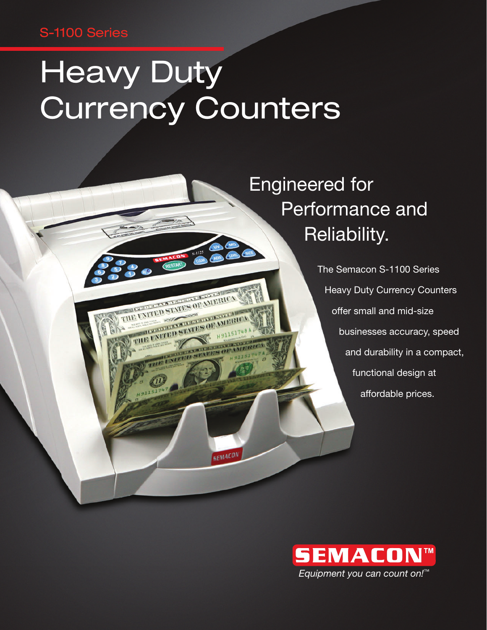### S-1100 Series

# **Heavy Duty** Currency Counters

THE INTERNATIONAL STATES OF MERICA TERMINED STATES OF A

NITED STATES OF ALL THE ENTRE STARS OF H

STATE

**SEMACON** 

## Engineered for Performance and Reliability.

The Semacon S-1100 Series Heavy Duty Currency Counters offer small and mid-size businesses accuracy, speed and durability in a compact, functional design at affordable prices.